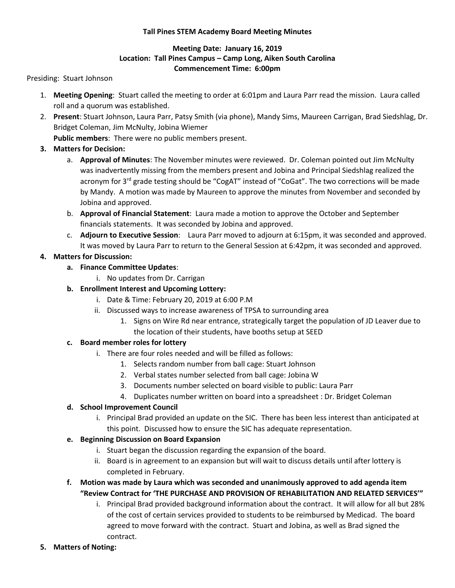### **Tall Pines STEM Academy Board Meeting Minutes**

## **Meeting Date: January 16, 2019 Location: Tall Pines Campus – Camp Long, Aiken South Carolina Commencement Time: 6:00pm**

#### Presiding: Stuart Johnson

- 1. **Meeting Opening**: Stuart called the meeting to order at 6:01pm and Laura Parr read the mission. Laura called roll and a quorum was established.
- 2. **Present**: Stuart Johnson, Laura Parr, Patsy Smith (via phone), Mandy Sims, Maureen Carrigan, Brad Siedshlag, Dr. Bridget Coleman, Jim McNulty, Jobina Wiemer

**Public members**: There were no public members present.

- **3. Matters for Decision:**
	- a. **Approval of Minutes**: The November minutes were reviewed. Dr. Coleman pointed out Jim McNulty was inadvertently missing from the members present and Jobina and Principal Siedshlag realized the acronym for 3<sup>rd</sup> grade testing should be "CogAT" instead of "CoGat". The two corrections will be made by Mandy. A motion was made by Maureen to approve the minutes from November and seconded by Jobina and approved.
	- b. **Approval of Financial Statement**: Laura made a motion to approve the October and September financials statements. It was seconded by Jobina and approved.
	- c. **Adjourn to Executive Session**: Laura Parr moved to adjourn at 6:15pm, it was seconded and approved. It was moved by Laura Parr to return to the General Session at 6:42pm, it was seconded and approved.

### **4. Matters for Discussion:**

- **a. Finance Committee Updates**:
	- i. No updates from Dr. Carrigan

### **b. Enrollment Interest and Upcoming Lottery:**

- i. Date & Time: February 20, 2019 at 6:00 P.M
- ii. Discussed ways to increase awareness of TPSA to surrounding area
	- 1. Signs on Wire Rd near entrance, strategically target the population of JD Leaver due to the location of their students, have booths setup at SEED

## **c. Board member roles for lottery**

- i. There are four roles needed and will be filled as follows:
	- 1. Selects random number from ball cage: Stuart Johnson
	- 2. Verbal states number selected from ball cage: Jobina W
	- 3. Documents number selected on board visible to public: Laura Parr
	- 4. Duplicates number written on board into a spreadsheet : Dr. Bridget Coleman

#### **d. School Improvement Council**

- i. Principal Brad provided an update on the SIC. There has been less interest than anticipated at this point. Discussed how to ensure the SIC has adequate representation.
- **e. Beginning Discussion on Board Expansion**
	- i. Stuart began the discussion regarding the expansion of the board.
	- ii. Board is in agreement to an expansion but will wait to discuss details until after lottery is completed in February.

# **f. Motion was made by Laura which was seconded and unanimously approved to add agenda item "Review Contract for 'THE PURCHASE AND PROVISION OF REHABILITATION AND RELATED SERVICES'"**

- i. Principal Brad provided background information about the contract. It will allow for all but 28% of the cost of certain services provided to students to be reimbursed by Medicad. The board agreed to move forward with the contract. Stuart and Jobina, as well as Brad signed the contract.
- **5. Matters of Noting:**